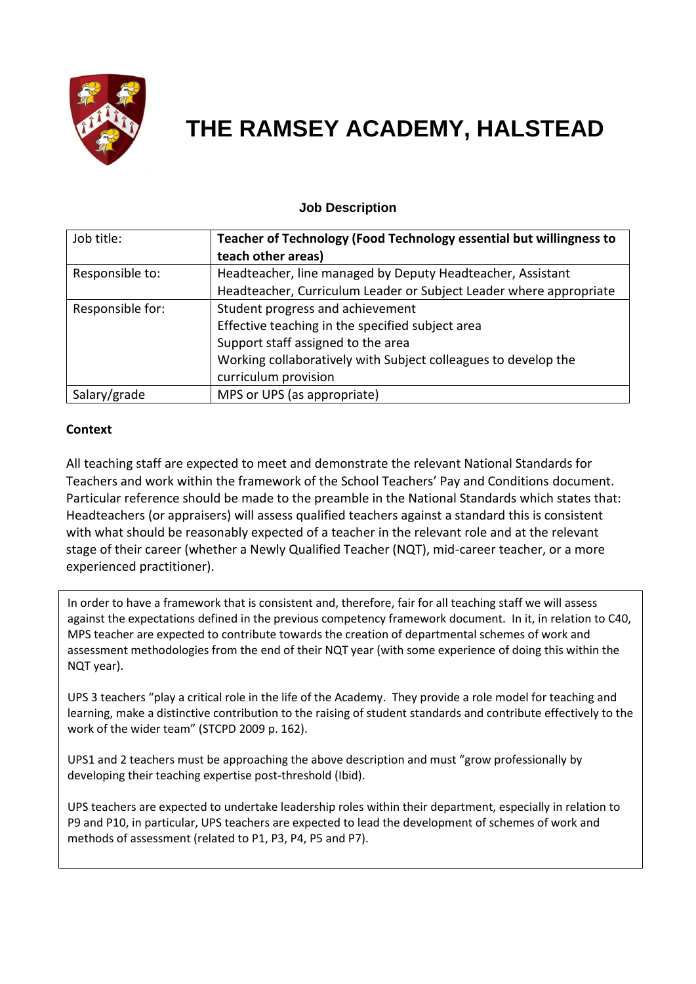

# **THE RAMSEY ACADEMY, HALSTEAD**

# **Job Description**

| Job title:       | Teacher of Technology (Food Technology essential but willingness to |
|------------------|---------------------------------------------------------------------|
|                  | teach other areas)                                                  |
| Responsible to:  | Headteacher, line managed by Deputy Headteacher, Assistant          |
|                  | Headteacher, Curriculum Leader or Subject Leader where appropriate  |
| Responsible for: | Student progress and achievement                                    |
|                  | Effective teaching in the specified subject area                    |
|                  | Support staff assigned to the area                                  |
|                  | Working collaboratively with Subject colleagues to develop the      |
|                  | curriculum provision                                                |
| Salary/grade     | MPS or UPS (as appropriate)                                         |

#### **Context**

All teaching staff are expected to meet and demonstrate the relevant National Standards for Teachers and work within the framework of the School Teachers' Pay and Conditions document. Particular reference should be made to the preamble in the National Standards which states that: Headteachers (or appraisers) will assess qualified teachers against a standard this is consistent with what should be reasonably expected of a teacher in the relevant role and at the relevant stage of their career (whether a Newly Qualified Teacher (NQT), mid-career teacher, or a more experienced practitioner).

In order to have a framework that is consistent and, therefore, fair for all teaching staff we will assess against the expectations defined in the previous competency framework document. In it, in relation to C40, MPS teacher are expected to contribute towards the creation of departmental schemes of work and assessment methodologies from the end of their NQT year (with some experience of doing this within the NQT year).

UPS 3 teachers "play a critical role in the life of the Academy. They provide a role model for teaching and learning, make a distinctive contribution to the raising of student standards and contribute effectively to the work of the wider team" (STCPD 2009 p. 162).

UPS1 and 2 teachers must be approaching the above description and must "grow professionally by developing their teaching expertise post-threshold (Ibid).

UPS teachers are expected to undertake leadership roles within their department, especially in relation to P9 and P10, in particular, UPS teachers are expected to lead the development of schemes of work and methods of assessment (related to P1, P3, P4, P5 and P7).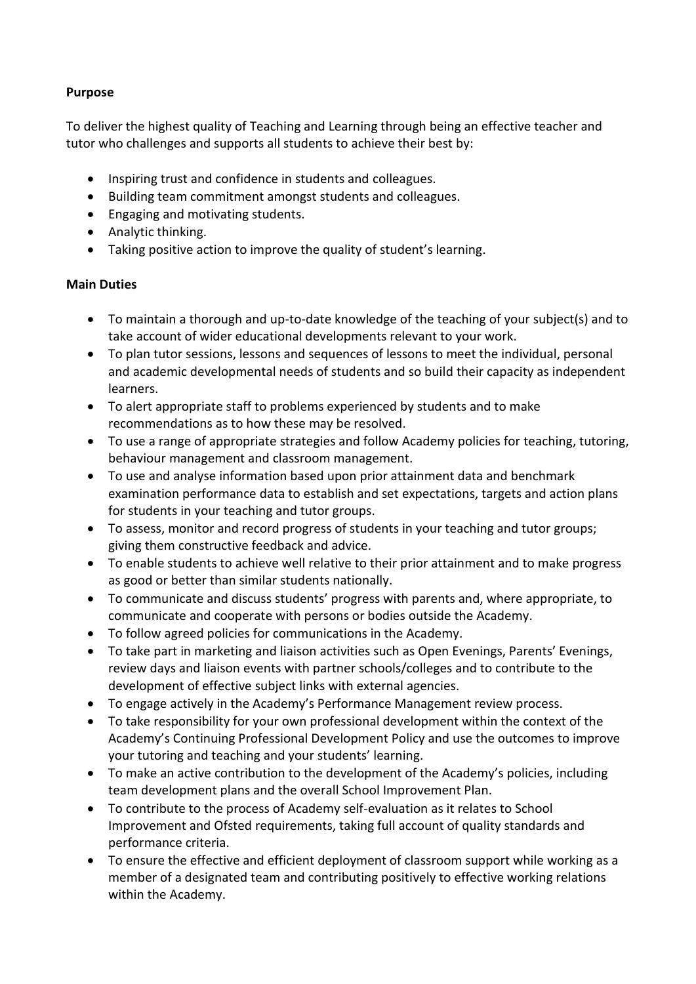### **Purpose**

To deliver the highest quality of Teaching and Learning through being an effective teacher and tutor who challenges and supports all students to achieve their best by:

- Inspiring trust and confidence in students and colleagues.
- Building team commitment amongst students and colleagues.
- Engaging and motivating students.
- Analytic thinking.
- Taking positive action to improve the quality of student's learning.

#### **Main Duties**

- To maintain a thorough and up-to-date knowledge of the teaching of your subject(s) and to take account of wider educational developments relevant to your work.
- To plan tutor sessions, lessons and sequences of lessons to meet the individual, personal and academic developmental needs of students and so build their capacity as independent learners.
- To alert appropriate staff to problems experienced by students and to make recommendations as to how these may be resolved.
- To use a range of appropriate strategies and follow Academy policies for teaching, tutoring, behaviour management and classroom management.
- To use and analyse information based upon prior attainment data and benchmark examination performance data to establish and set expectations, targets and action plans for students in your teaching and tutor groups.
- To assess, monitor and record progress of students in your teaching and tutor groups; giving them constructive feedback and advice.
- To enable students to achieve well relative to their prior attainment and to make progress as good or better than similar students nationally.
- To communicate and discuss students' progress with parents and, where appropriate, to communicate and cooperate with persons or bodies outside the Academy.
- To follow agreed policies for communications in the Academy.
- To take part in marketing and liaison activities such as Open Evenings, Parents' Evenings, review days and liaison events with partner schools/colleges and to contribute to the development of effective subject links with external agencies.
- To engage actively in the Academy's Performance Management review process.
- To take responsibility for your own professional development within the context of the Academy's Continuing Professional Development Policy and use the outcomes to improve your tutoring and teaching and your students' learning.
- To make an active contribution to the development of the Academy's policies, including team development plans and the overall School Improvement Plan.
- To contribute to the process of Academy self-evaluation as it relates to School Improvement and Ofsted requirements, taking full account of quality standards and performance criteria.
- To ensure the effective and efficient deployment of classroom support while working as a member of a designated team and contributing positively to effective working relations within the Academy.